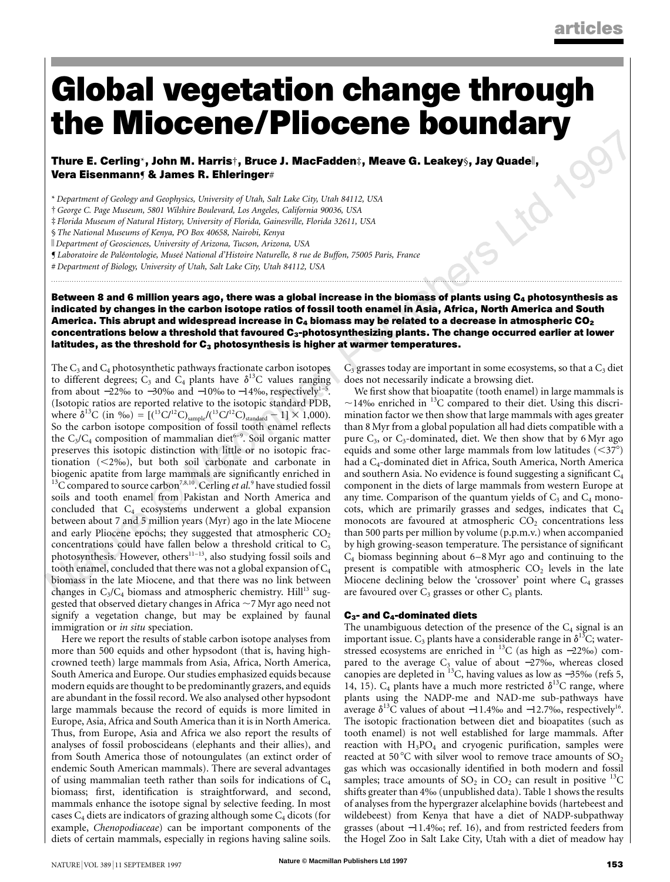## **Global vegetation change through the Miocene/Pliocene boundary**

**Thure E. Cerling**\***, John M. Harris**†**, Bruce J. MacFadden**‡**, Meave G. Leakey**§**, Jay Quade**k**, Vera Eisenmann**¶ **& James R. Ehleringer**#

\* *Department of Geology and Geophysics, University of Utah, Salt Lake City, Utah 84112, USA*

†*George C. Page Museum, 5801 Wilshire Boulevard, Los Angeles, California 90036, USA*

‡ *Florida Museum of Natural History, University of Florida, Gainesville, Florida 32611, USA*

§ *The National Museums of Kenya, PO Box 40658, Nairobi, Kenya*

k *Department of Geosciences, University of Arizona, Tucson, Arizona, USA*

¶ *Laboratoire de Pale´ontologie, Musee´ National d'Histoire Naturelle, 8 rue de Buffon, 75005 Paris, France*

# *Department of Biology, University of Utah, Salt Lake City, Utah 84112, USA*

**Between 8 and 6 million years ago, there was a global increase in the biomass of plants using C4 photosynthesis as indicated by changes in the carbon isotope ratios of fossil tooth enamel in Asia, Africa, North America and South** America. This abrupt and widespread increase in C<sub>4</sub> biomass may be related to a decrease in atmospheric CO<sub>2</sub> **concentrations below a threshold that favoured C3-photosynthesizing plants. The change occurred earlier at lower** latitudes, as the threshold for C<sub>3</sub> photosynthesis is higher at warmer temperatures.

............................................................................................................................... .........................................................................................................................

The  $C_3$  and  $C_4$  photosynthetic pathways fractionate carbon isotopes to different degrees;  $C_3$  and  $C_4$  plants have  $\delta^{13}C$  values ranging from about  $-22\%$  to  $-30\%$  and  $-10\%$  to  $-14\%$ , respectively<sup>1-5</sup>. (Isotopic ratios are reported relative to the isotopic standard PDB, where  $\delta^{13}C$  (in ‰) = [(<sup>13</sup>C/<sup>12</sup>C)<sub>sample</sub>/(<sup>13</sup>C/<sup>12</sup>C)<sub>standard</sub> – 1] × 1,000). So the carbon isotope composition of fossil tooth enamel reflects the  $C_3/C_4$  composition of mammalian diet<sup>6–9</sup>. Soil organic matter preserves this isotopic distinction with little or no isotopic fractionation  $(<2\%o)$ , but both soil carbonate and carbonate in biogenic apatite from large mammals are significantly enriched in <sup>13</sup>C compared to source carbon<sup>7,8,10</sup>. Cerling *et al.*<sup>9</sup> have studied fossil soils and tooth enamel from Pakistan and North America and concluded that  $C_4$  ecosystems underwent a global expansion between about 7 and 5 million years (Myr) ago in the late Miocene and early Pliocene epochs; they suggested that atmospheric  $CO<sub>2</sub>$ concentrations could have fallen below a threshold critical to  $C_3$ photosynthesis. However, others<sup>11-13</sup>, also studying fossil soils and tooth enamel, concluded that there was not a global expansion of  $C_4$ biomass in the late Miocene, and that there was no link between changes in  $C_3/C_4$  biomass and atmospheric chemistry. Hill<sup>13</sup> suggested that observed dietary changes in Africa  $\sim$  7 Myr ago need not signify a vegetation change, but may be explained by faunal immigration or *in situ* speciation.

Here we report the results of stable carbon isotope analyses from more than 500 equids and other hypsodont (that is, having highcrowned teeth) large mammals from Asia, Africa, North America, South America and Europe. Our studies emphasized equids because modern equids are thought to be predominantly grazers, and equids are abundant in the fossil record. We also analysed other hypsodont large mammals because the record of equids is more limited in Europe, Asia, Africa and South America than it is in North America. Thus, from Europe, Asia and Africa we also report the results of analyses of fossil proboscideans (elephants and their allies), and from South America those of notoungulates (an extinct order of endemic South American mammals). There are several advantages of using mammalian teeth rather than soils for indications of  $C_4$ biomass; first, identification is straightforward, and second, mammals enhance the isotope signal by selective feeding. In most cases  $C_4$  diets are indicators of grazing although some  $C_4$  dicots (for example, *Chenopodiaceae*) can be important components of the diets of certain mammals, especially in regions having saline soils.

 $C_3$  grasses today are important in some ecosystems, so that a  $C_3$  diet does not necessarily indicate a browsing diet.

We first show that bioapatite (tooth enamel) in large mammals is  $\sim$ 14‰ enriched in <sup>13</sup>C compared to their diet. Using this discrimination factor we then show that large mammals with ages greater than 8 Myr from a global population all had diets compatible with a pure  $C_3$ , or  $C_3$ -dominated, diet. We then show that by 6 Myr ago equids and some other large mammals from low latitudes  $(*37°*)$ had a C4-dominated diet in Africa, South America, North America and southern Asia. No evidence is found suggesting a significant C4 component in the diets of large mammals from western Europe at any time. Comparison of the quantum yields of  $C_3$  and  $C_4$  monocots, which are primarily grasses and sedges, indicates that C4 monocots are favoured at atmospheric  $CO<sub>2</sub>$  concentrations less than 500 parts per million by volume (p.p.m.v.) when accompanied by high growing-season temperature. The persistance of significant  $C_4$  biomass beginning about 6–8 Myr ago and continuing to the present is compatible with atmospheric  $CO<sub>2</sub>$  levels in the late Miocene declining below the 'crossover' point where  $C_4$  grasses are favoured over  $C_3$  grasses or other  $C_3$  plants.

#### **C3- and C4-dominated diets**

The unambiguous detection of the presence of the  $C_4$  signal is an important issue.  $C_3$  plants have a considerable range in  $\delta^{13}C$ ; waterstressed ecosystems are enriched in 13C (as high as −22‰) compared to the average  $C_3$  value of about −27‰, whereas closed canopies are depleted in <sup>13</sup>C, having values as low as  $-35%$  (refs 5, 14, 15).  $C_4$  plants have a much more restricted  $\delta^{13}C$  range, where plants using the NADP-me and NAD-me sub-pathways have average  $\delta^{13}$ C values of about −11.4‰ and −12.7‰, respectively<sup>16</sup>. The isotopic fractionation between diet and bioapatites (such as tooth enamel) is not well established for large mammals. After reaction with  $H_3PO_4$  and cryogenic purification, samples were reacted at 50 °C with silver wool to remove trace amounts of  $SO_2$ gas which was occasionally identified in both modern and fossil samples; trace amounts of  $SO_2$  in  $CO_2$  can result in positive <sup>13</sup>C shifts greater than 4‰ (unpublished data). Table 1 shows the results of analyses from the hypergrazer alcelaphine bovids (hartebeest and wildebeest) from Kenya that have a diet of NADP-subpathway grasses (about −11.4‰; ref. 16), and from restricted feeders from the Hogel Zoo in Salt Lake City, Utah with a diet of meadow hay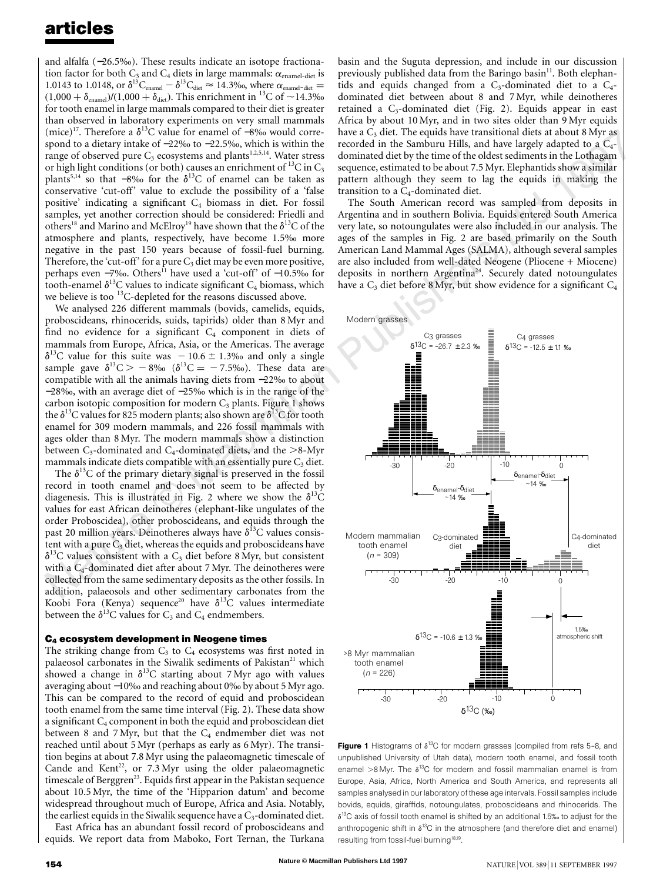and alfalfa (−26.5‰). These results indicate an isotope fractionation factor for both  $C_3$  and  $C_4$  diets in large mammals:  $\alpha_{\text{enamel-diet}}$  is 1.0143 to 1.0148, or  $\delta^{13}C_{\text{channel}} - \delta^{13}C_{\text{dict}} \approx 14.3\%$ , where  $\alpha_{\text{channel-diet}} =$  $(1,000 + \delta_{\text{enamel}})/(1,000 + \delta_{\text{dict}})$ . This enrichment in <sup>13</sup>C of ~14.3‰ for tooth enamel in large mammals compared to their diet is greater than observed in laboratory experiments on very small mammals (mice)<sup>17</sup>. Therefore a  $\delta^{13}$ C value for enamel of −8‰ would correspond to a dietary intake of −22‰ to −22.5‰, which is within the range of observed pure C<sub>3</sub> ecosystems and plants<sup>1,2,5,14</sup>. Water stress or high light conditions (or both) causes an enrichment of  ${}^{13}C$  in  $C_3$ plants<sup>5,14</sup> so that −8‰ for the  $\delta^{13}$ C of enamel can be taken as conservative 'cut-off' value to exclude the possibility of a 'false positive' indicating a significant C4 biomass in diet. For fossil samples, yet another correction should be considered: Friedli and others<sup>18</sup> and Marino and McElroy<sup>19</sup> have shown that the  $\delta^{13}C$  of the atmosphere and plants, respectively, have become 1.5‰ more negative in the past 150 years because of fossil-fuel burning. Therefore, the 'cut-off' for a pure  $C_3$  diet may be even more positive, perhaps even −7‰. Others<sup>11</sup> have used a 'cut-off' of −10.5‰ for tooth-enamel  $\delta^{13}$ C values to indicate significant C<sub>4</sub> biomass, which we believe is too <sup>13</sup>C-depleted for the reasons discussed above.

We analysed 226 different mammals (bovids, camelids, equids, proboscideans, rhinocerids, suids, tapirids) older than 8 Myr and find no evidence for a significant  $C_4$  component in diets of mammals from Europe, Africa, Asia, or the Americas. The average  $\delta^{13}$ C value for this suite was  $-10.6 \pm 1.3\%$  and only a single sample gave  $\delta^{13}C > -8\%$  ( $\delta^{13}C = -7.5\%$ ). These data are compatible with all the animals having diets from −22‰ to about −28‰, with an average diet of −25‰ which is in the range of the carbon isotopic composition for modern  $C_3$  plants. Figure 1 shows the  $\delta^{13}$ C values for 825 modern plants; also shown are  $\delta^{13}$ C for tooth enamel for 309 modern mammals, and 226 fossil mammals with ages older than 8 Myr. The modern mammals show a distinction between  $C_3$ -dominated and  $C_4$ -dominated diets, and the  $>8$ -Myr mammals indicate diets compatible with an essentially pure  $C_3$  diet.

The  $\delta^{13}$ C of the primary dietary signal is preserved in the fossil record in tooth enamel and does not seem to be affected by diagenesis. This is illustrated in Fig. 2 where we show the  $\delta^{13}C$ values for east African deinotheres (elephant-like ungulates of the order Proboscidea), other proboscideans, and equids through the past 20 million years. Deinotheres always have  $\delta^{13}$ C values consistent with a pure  $C_3$  diet, whereas the equids and proboscideans have  $\delta^{13}$ C values consistent with a C<sub>3</sub> diet before 8 Myr, but consistent with a C<sub>4</sub>-dominated diet after about 7 Myr. The deinotheres were collected from the same sedimentary deposits as the other fossils. In addition, palaeosols and other sedimentary carbonates from the Koobi Fora (Kenya) sequence<sup>20</sup> have  $\delta^{13}$ C values intermediate between the  $\delta^{13}$ C values for  $C_3$  and  $C_4$  endmembers.

#### **C4 ecosystem development in Neogene times**

The striking change from  $C_3$  to  $C_4$  ecosystems was first noted in palaeosol carbonates in the Siwalik sediments of Pakistan<sup>21</sup> which showed a change in  $\delta^{13}$ C starting about 7 Myr ago with values averaging about −10‰and reaching about 0‰by about 5 Myr ago. This can be compared to the record of equid and proboscidean tooth enamel from the same time interval (Fig. 2). These data show a significant  $C_4$  component in both the equid and proboscidean diet between 8 and 7 Myr, but that the  $C_4$  endmember diet was not reached until about 5 Myr (perhaps as early as 6 Myr). The transition begins at about 7.8 Myr using the palaeomagnetic timescale of Cande and Kent<sup>22</sup>, or  $7.3 \text{ Myr}$  using the older palaeomagnetic timescale of Berggren<sup>23</sup>. Equids first appear in the Pakistan sequence about 10.5 Myr, the time of the 'Hipparion datum' and become widespread throughout much of Europe, Africa and Asia. Notably, the earliest equids in the Siwalik sequence have a  $C_3$ -dominated diet.

East Africa has an abundant fossil record of proboscideans and equids. We report data from Maboko, Fort Ternan, the Turkana basin and the Suguta depression, and include in our discussion previously published data from the Baringo basin<sup>11</sup>. Both elephantids and equids changed from a  $C_3$ -dominated diet to a  $C_4$ dominated diet between about 8 and 7 Myr, while deinotheres retained a  $C_3$ -dominated diet (Fig. 2). Equids appear in east Africa by about 10 Myr, and in two sites older than 9 Myr equids have a  $C_3$  diet. The equids have transitional diets at about 8 Myr as recorded in the Samburu Hills, and have largely adapted to a  $C_4$ dominated diet by the time of the oldest sediments in the Lothagam sequence, estimated to be about 7.5 Myr. Elephantids show a similar pattern although they seem to lag the equids in making the transition to a  $C_4$ -dominated diet.

The South American record was sampled from deposits in Argentina and in southern Bolivia. Equids entered South America very late, so notoungulates were also included in our analysis. The ages of the samples in Fig. 2 are based primarily on the South American Land Mammal Ages (SALMA), although several samples are also included from well-dated Neogene (Pliocene + Miocene) deposits in northern Argentina<sup>24</sup>. Securely dated notoungulates have a  $C_3$  diet before 8 Myr, but show evidence for a significant  $C_4$ 



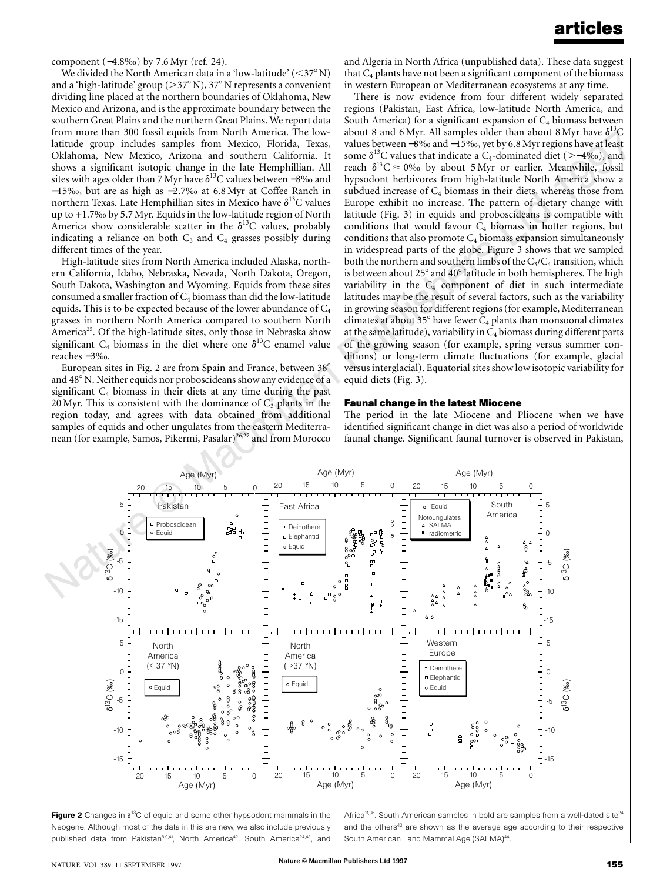component (−4.8‰) by 7.6 Myr (ref. 24).

We divided the North American data in a 'low-latitude'  $(<$ 37° N) and a 'high-latitude' group ( $>37^{\circ}$  N), 37° N represents a convenient dividing line placed at the northern boundaries of Oklahoma, New Mexico and Arizona, and is the approximate boundary between the southern Great Plains and the northern Great Plains. We report data from more than 300 fossil equids from North America. The lowlatitude group includes samples from Mexico, Florida, Texas, Oklahoma, New Mexico, Arizona and southern California. It shows a significant isotopic change in the late Hemphillian. All sites with ages older than 7 Myr have  $\delta^{13}$ C values between -8‰ and −15‰, but are as high as −2.7‰ at 6.8 Myr at Coffee Ranch in northern Texas. Late Hemphillian sites in Mexico have  $\delta^{13}$ C values up to +1.7‰by 5.7 Myr. Equids in the low-latitude region of North America show considerable scatter in the  $\delta^{13}$ C values, probably indicating a reliance on both  $C_3$  and  $C_4$  grasses possibly during different times of the year.

High-latitude sites from North America included Alaska, northern California, Idaho, Nebraska, Nevada, North Dakota, Oregon, South Dakota, Washington and Wyoming. Equids from these sites consumed a smaller fraction of  $C_4$  biomass than did the low-latitude equids. This is to be expected because of the lower abundance of  $C_4$ grasses in northern North America compared to southern North America<sup>25</sup>. Of the high-latitude sites, only those in Nebraska show significant  $C_4$  biomass in the diet where one  $\delta^{13}C$  enamel value reaches −3‰.

European sites in Fig. 2 are from Spain and France, between  $38^{\circ}$ and 48° N. Neither equids nor proboscideans show any evidence of a significant  $C_4$  biomass in their diets at any time during the past 20 Myr. This is consistent with the dominance of  $C_3$  plants in the region today, and agrees with data obtained from additional samples of equids and other ungulates from the eastern Mediterranean (for example, Samos, Pikermi, Pasalar)<sup>26,27</sup> and from Morocco

and Algeria in North Africa (unpublished data). These data suggest that  $C_4$  plants have not been a significant component of the biomass in western European or Mediterranean ecosystems at any time.

There is now evidence from four different widely separated regions (Pakistan, East Africa, low-latitude North America, and South America) for a significant expansion of  $C_4$  biomass between about 8 and 6 Myr. All samples older than about 8 Myr have  $\delta^{13}C$ values between −8‰and −15‰, yet by 6.8 Myrregions have at least some  $\delta^{13}$ C values that indicate a C<sub>4</sub>-dominated diet (>−4‰), and reach  $\delta^{13}C \approx 0\%$  by about 5 Myr or earlier. Meanwhile, fossil hypsodont herbivores from high-latitude North America show a subdued increase of  $C_4$  biomass in their diets, whereas those from Europe exhibit no increase. The pattern of dietary change with latitude (Fig. 3) in equids and proboscideans is compatible with conditions that would favour  $C_4$  biomass in hotter regions, but conditions that also promote  $C_4$  biomass expansion simultaneously in widespread parts of the globe. Figure 3 shows that we sampled both the northern and southern limbs of the  $C_3/C_4$  transition, which is between about  $25^{\circ}$  and  $40^{\circ}$  latitude in both hemispheres. The high variability in the  $C_4$  component of diet in such intermediate latitudes may be the result of several factors, such as the variability in growing season for different regions (for example, Mediterranean climates at about  $35^{\circ}$  have fewer  $C_4$  plants than monsoonal climates at the same latitude), variability in  $C_4$  biomass during different parts of the growing season (for example, spring versus summer conditions) or long-term climate fluctuations (for example, glacial versusinterglacial). Equatorial sites showlow isotopic variability for equid diets (Fig. 3).

#### **Faunal change in the latest Miocene**

The period in the late Miocene and Pliocene when we have identified significant change in diet was also a period of worldwide faunal change. Significant faunal turnover is observed in Pakistan,





Africa<sup>11,36</sup>. South American samples in bold are samples from a well-dated site<sup>24</sup> and the others<sup>43</sup> are shown as the average age according to their respective South American Land Mammal Age (SALMA)<sup>44</sup>.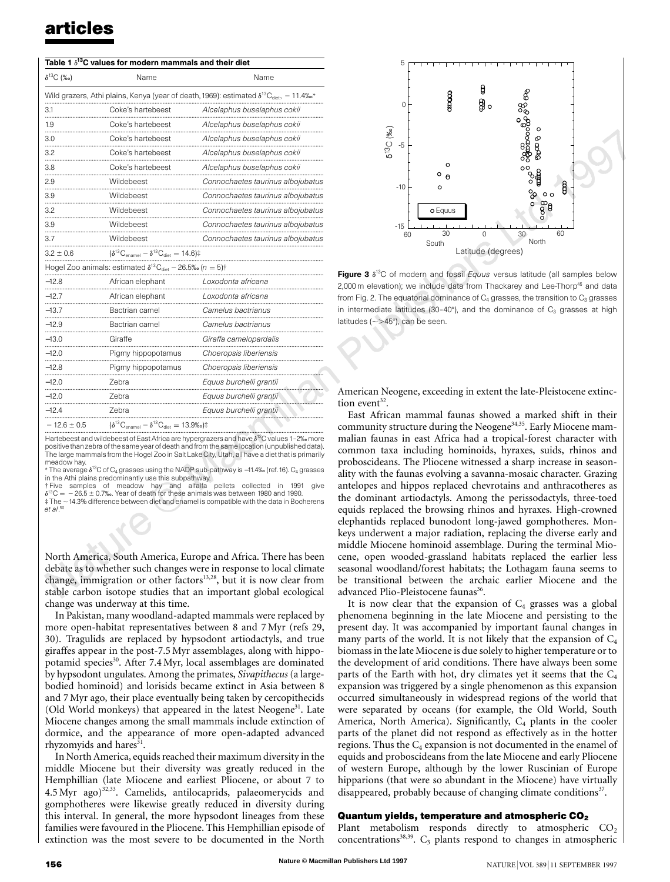| Table 1 $\delta^{13}$ C values for modern mammals and their diet                                                     |                                                                                |                                   |
|----------------------------------------------------------------------------------------------------------------------|--------------------------------------------------------------------------------|-----------------------------------|
| $\delta^{13}C$ (‰)                                                                                                   | Name                                                                           | Name                              |
| Wild grazers, Athi plains, Kenya (year of death, 1969): estimated $\delta^{13}C_{\text{diet}}, -11.4\%$ <sup>*</sup> |                                                                                |                                   |
| 3.1<br>.                                                                                                             | Coke's hartebeest                                                              | Alcelaphus buselaphus cokii       |
| 1.9                                                                                                                  | Coke's hartebeest                                                              | Alcelaphus buselaphus cokii       |
| 3.0                                                                                                                  | Coke's hartebeest                                                              | Alcelaphus buselaphus cokii       |
| 3.2                                                                                                                  | Coke's hartebeest                                                              | Alcelaphus buselaphus cokii       |
| 3.8                                                                                                                  | Coke's hartebeest                                                              | Alcelaphus buselaphus cokii       |
| 2.9                                                                                                                  | Wildebeest                                                                     | Connochaetes taurinus albojubatus |
| 3.9<br>.                                                                                                             | Wildebeest                                                                     | Connochaetes taurinus albojubatus |
| 3.2                                                                                                                  | Wildebeest                                                                     | Connochaetes taurinus albojubatus |
| 3.9                                                                                                                  | Wildebeest                                                                     | Connochaetes taurinus albojubatus |
| 3.7                                                                                                                  | Wildebeest                                                                     | Connochaetes taurinus albojubatus |
| $3.2 \pm 0.6$                                                                                                        | $(\delta^{13}C_{\text{enamel}} - \delta^{13}C_{\text{diet}} = 14.6)$ #         |                                   |
| Hogel Zoo animals: estimated $\delta^{13}C_{\text{dist}} - 26.5\% (n = 5)$                                           |                                                                                |                                   |
| $-12.8$                                                                                                              | African elephant                                                               | Loxodonta africana                |
| $-12.7$                                                                                                              | African elephant                                                               | Loxodonta africana                |
| $-13.7$                                                                                                              | Bactrian camel                                                                 | Camelus bactrianus                |
| $-12.9$                                                                                                              | Bactrian camel                                                                 | Camelus bactrianus                |
| $-13.0$                                                                                                              | Giraffe                                                                        | Giraffa camelopardalis            |
| $-12.0$                                                                                                              | Pigmy hippopotamus                                                             | Choeropsis liberiensis            |
| $-12.8$                                                                                                              | Pigmy hippopotamus                                                             | Choeropsis liberiensis            |
| $-12.0$                                                                                                              | Zebra                                                                          | Equus burchelli grantii           |
| $-12.0$                                                                                                              | 7ebra                                                                          | Equus burchelli grantii           |
| -124                                                                                                                 | Zebra                                                                          | Equus burchelli grantii           |
| $-12.6 \pm 0.5$                                                                                                      | $(\delta^{13}C_{\text{enamel}} - \delta^{13}C_{\text{diet}} = 13.9\%)\ddagger$ |                                   |

Hartebeest and wildebeest of East Africa are hypergrazers and have  $\delta^{13}$ C values 1-2‰ more positive than zebra of the same year of death and from the same location (unpublished data). The large mammals from the Hogel Zoo in Salt Lake City, Utah, all have a diet that is primarily meadow hay.

\* The average  $\delta^{13}$ C of C<sub>4</sub> grasses using the NADP sub-pathway is –11.4‰ (ref.16). C<sub>4</sub> grasses

in the Athi plains predominantly use this subpathway.<br>† Five samples of meadow hay and alfalfa pellets collected in 1991 give<br>δ<sup>13</sup>C = – 26.5 ± 0.7‰. Year of death for these animals was ‡ The ,14.3% difference between diet and enamel is compatible with the data in Bocherens *et al*. 50

North America, South America, Europe and Africa. There has been debate as to whether such changes were in response to local climate change, immigration or other factors<sup>13,28</sup>, but it is now clear from stable carbon isotope studies that an important global ecological change was underway at this time.

In Pakistan, many woodland-adapted mammals were replaced by more open-habitat representatives between 8 and 7 Myr (refs 29, 30). Tragulids are replaced by hypsodont artiodactyls, and true giraffes appear in the post-7.5 Myr assemblages, along with hippopotamid species<sup>30</sup>. After 7.4 Myr, local assemblages are dominated by hypsodont ungulates. Among the primates, *Sivapithecus* (a largebodied hominoid) and lorisids became extinct in Asia between 8 and 7 Myr ago, their place eventually being taken by cercopithecids (Old World monkeys) that appeared in the latest Neogene<sup>31</sup>. Late Miocene changes among the small mammals include extinction of dormice, and the appearance of more open-adapted advanced rhyzomyids and hares<sup>31</sup>.

In North America, equids reached their maximum diversity in the middle Miocene but their diversity was greatly reduced in the Hemphillian (late Miocene and earliest Pliocene, or about 7 to 4.5 Myr ago)<sup>32,33</sup>. Camelids, antilocaprids, palaeomerycids and gomphotheres were likewise greatly reduced in diversity during this interval. In general, the more hypsodont lineages from these families were favoured in the Pliocene. This Hemphillian episode of extinction was the most severe to be documented in the North



Figure 3  $\delta^{13}$ C of modern and fossil *Equus* versus latitude (all samples below 2,000 m elevation); we include data from Thackarey and Lee-Thorp<sup>45</sup> and data from Fig. 2. The equatorial dominance of  $C_4$  grasses, the transition to  $C_3$  grasses in intermediate latitudes (30-40 $^{\circ}$ ), and the dominance of  $C_3$  grasses at high latitudes ( $\sim$ >45°), can be seen.

American Neogene, exceeding in extent the late-Pleistocene extinction event<sup>32</sup>.

East African mammal faunas showed a marked shift in their community structure during the Neogene<sup>34,35</sup>. Early Miocene mammalian faunas in east Africa had a tropical-forest character with common taxa including hominoids, hyraxes, suids, rhinos and proboscideans. The Pliocene witnessed a sharp increase in seasonality with the faunas evolving a savanna-mosaic character. Grazing antelopes and hippos replaced chevrotains and anthracotheres as the dominant artiodactyls. Among the perissodactyls, three-toed equids replaced the browsing rhinos and hyraxes. High-crowned elephantids replaced bunodont long-jawed gomphotheres. Monkeys underwent a major radiation, replacing the diverse early and middle Miocene hominoid assemblage. During the terminal Miocene, open wooded-grassland habitats replaced the earlier less seasonal woodland/forest habitats; the Lothagam fauna seems to be transitional between the archaic earlier Miocene and the advanced Plio-Pleistocene faunas<sup>36</sup>.

It is now clear that the expansion of  $C_4$  grasses was a global phenomena beginning in the late Miocene and persisting to the present day. It was accompanied by important faunal changes in many parts of the world. It is not likely that the expansion of  $C_4$ biomass in the late Miocene is due solely to higher temperature or to the development of arid conditions. There have always been some parts of the Earth with hot, dry climates yet it seems that the  $C_4$ expansion was triggered by a single phenomenon as this expansion occurred simultaneously in widespread regions of the world that were separated by oceans (for example, the Old World, South America, North America). Significantly,  $C_4$  plants in the cooler parts of the planet did not respond as effectively as in the hotter regions. Thus the  $C_4$  expansion is not documented in the enamel of equids and proboscideans from the late Miocene and early Pliocene of western Europe, although by the lower Ruscinian of Europe hipparions (that were so abundant in the Miocene) have virtually disappeared, probably because of changing climate conditions<sup>37</sup>.

#### **Quantum yields, temperature and atmospheric CO2**

Plant metabolism responds directly to atmospheric  $CO<sub>2</sub>$  $concentrations<sup>38,39</sup>$ .  $C<sub>3</sub>$  plants respond to changes in atmospheric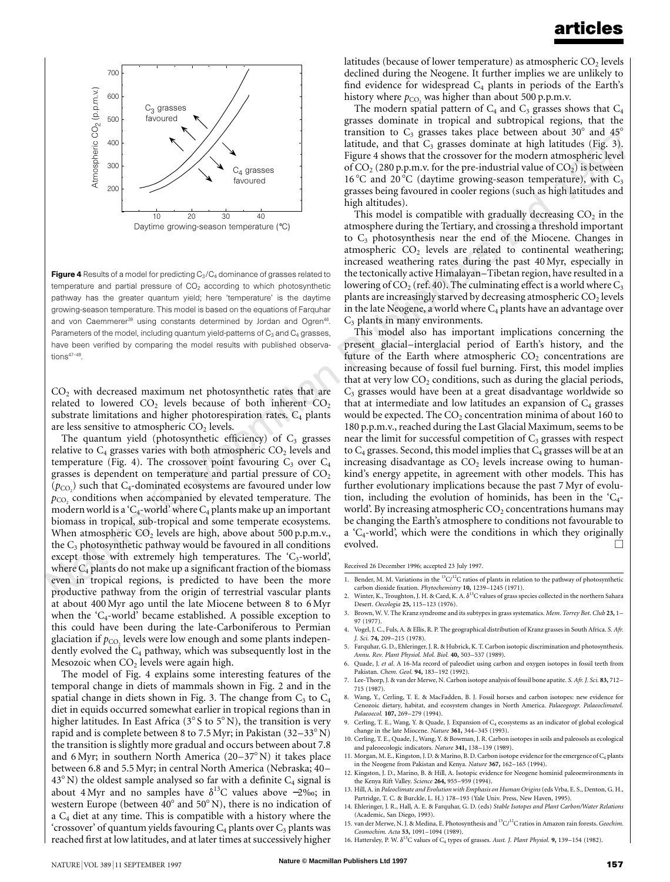

Figure 4 Results of a model for predicting  $C_3/C_4$  dominance of grasses related to temperature and partial pressure of  $CO<sub>2</sub>$  according to which photosynthetic pathway has the greater quantum yield; here 'temperature' is the daytime growing-season temperature. This model is based on the equations of Farquhar and von Caemmerer<sup>39</sup> using constants determined by Jordan and Ogren<sup>46</sup>. Parameters of the model, including quantum yield-patterns of  $C_3$  and  $C_4$  grasses, have been verified by comparing the model results with published observations<sup>47-49</sup>.

 $CO<sub>2</sub>$  with decreased maximum net photosynthetic rates that are related to lowered  $CO<sub>2</sub>$  levels because of both inherent  $CO<sub>2</sub>$ substrate limitations and higher photorespiration rates.  $C_4$  plants are less sensitive to atmospheric  $CO<sub>2</sub>$  levels.

The quantum yield (photosynthetic efficiency) of  $C_3$  grasses relative to  $C_4$  grasses varies with both atmospheric  $CO_2$  levels and temperature (Fig. 4). The crossover point favouring  $C_3$  over  $C_4$ grasses is dependent on temperature and partial pressure of  $CO<sub>2</sub>$  $(p_{CO_2})$  such that  $C_4$ -dominated ecosystems are favoured under low  $p_{CO}$ , conditions when accompanied by elevated temperature. The modern world is a 'C<sub>4</sub>-world' where  $C_4$  plants make up an important biomass in tropical, sub-tropical and some temperate ecosystems. When atmospheric  $CO<sub>2</sub>$  levels are high, above about 500 p.p.m.v., the  $C_3$  photosynthetic pathway would be favoured in all conditions except those with extremely high temperatures. The  $C_3$ -world', where  $C_4$  plants do not make up a significant fraction of the biomass even in tropical regions, is predicted to have been the more productive pathway from the origin of terrestrial vascular plants at about 400 Myr ago until the late Miocene between 8 to 6 Myr when the ' $C_4$ -world' became established. A possible exception to this could have been during the late-Carboniferous to Permian glaciation if  $p_{\text{CO}}$  levels were low enough and some plants independently evolved the  $C_4$  pathway, which was subsequently lost in the Mesozoic when  $CO<sub>2</sub>$  levels were again high.

The model of Fig. 4 explains some interesting features of the temporal change in diets of mammals shown in Fig. 2 and in the spatial change in diets shown in Fig. 3. The change from  $C_3$  to  $C_4$ diet in equids occurred somewhat earlier in tropical regions than in higher latitudes. In East Africa ( $3^{\circ}$  S to  $5^{\circ}$  N), the transition is very rapid and is complete between 8 to 7.5 Myr; in Pakistan  $(32-33° N)$ the transition is slightly more gradual and occurs between about 7.8 and 6 Myr; in southern North America  $(20-37°\text{ N})$  it takes place between 6.8 and 5.5 Myr; in central North America (Nebraska; 40–  $43^{\circ}$  N) the oldest sample analysed so far with a definite  $C_4$  signal is about 4 Myr and no samples have  $\delta^{13}$ C values above -2‰; in western Europe (between  $40^{\circ}$  and  $50^{\circ}$  N), there is no indication of a C4 diet at any time. This is compatible with a history where the 'crossover' of quantum yields favouring  $C_4$  plants over  $C_3$  plants was reached first at low latitudes, and at later times at successively higher

latitudes (because of lower temperature) as atmospheric  $CO<sub>2</sub>$  levels declined during the Neogene. It further implies we are unlikely to find evidence for widespread  $C_4$  plants in periods of the Earth's history where  $p_{CO_2}$  was higher than about 500 p.p.m.v.

The modern spatial pattern of  $C_4$  and  $C_3$  grasses shows that  $C_4$ grasses dominate in tropical and subtropical regions, that the transition to  $C_3$  grasses takes place between about 30 $\degree$  and 45 $\degree$ latitude, and that  $C_3$  grasses dominate at high latitudes (Fig. 3). Figure 4 shows that the crossover for the modern atmospheric level of  $CO<sub>2</sub>$  (280 p.p.m.v. for the pre-industrial value of  $CO<sub>2</sub>$ ) is between 16 °C and 20 °C (daytime growing-season temperature), with  $C_3$ grasses being favoured in cooler regions (such as high latitudes and high altitudes).

This model is compatible with gradually decreasing  $CO<sub>2</sub>$  in the atmosphere during the Tertiary, and crossing a threshold important to  $C_3$  photosynthesis near the end of the Miocene. Changes in atmospheric  $CO<sub>2</sub>$  levels are related to continental weathering; increased weathering rates during the past 40 Myr, especially in the tectonically active Himalayan–Tibetan region, have resulted in a lowering of  $CO_2$  (ref. 40). The culminating effect is a world where  $C_3$ plants are increasingly starved by decreasing atmospheric  $CO<sub>2</sub>$  levels in the late Neogene, a world where  $\mathrm{C}_4$  plants have an advantage over  $C_3$  plants in many environments.

This model also has important implications concerning the present glacial–interglacial period of Earth's history, and the future of the Earth where atmospheric  $CO<sub>2</sub>$  concentrations are increasing because of fossil fuel burning. First, this model implies that at very low  $CO<sub>2</sub>$  conditions, such as during the glacial periods,  $C_3$  grasses would have been at a great disadvantage worldwide so that at intermediate and low latitudes an expansion of  $C_4$  grasses would be expected. The  $CO<sub>2</sub>$  concentration minima of about 160 to 180 p.p.m.v., reached during the Last Glacial Maximum, seems to be near the limit for successful competition of  $C_3$  grasses with respect to  $C_4$  grasses. Second, this model implies that  $C_4$  grasses will be at an increasing disadvantage as  $CO<sub>2</sub>$  levels increase owing to humankind's energy appetite, in agreement with other models. This has further evolutionary implications because the past 7 Myr of evolution, including the evolution of hominids, has been in the  $C_4$ world'. By increasing atmospheric  $CO<sub>2</sub>$  concentrations humans may be changing the Earth's atmosphere to conditions not favourable to a ' $C_4$ -world', which were the conditions in which they originally evolved.

Received 26 December 1996; accepted 23 July 1997.

- 1. Bender, M. M. Variations in the <sup>13</sup>C/<sup>12</sup>C ratios of plants in relation to the pathway of photosynthetic carbon dioxide fixation. *Phytochemistry* **10,** 1239–1245 (1971).
- 2. Winter, K., Troughton, J. H. & Card, K. A.  $\delta^{13}$ C values of grass species collected in the northern Sahara Desert. *Oecologia* **25,** 115–123 (1976).
- 3. Brown, W. V. The Kranz syndrome and its subtypes in grass systematics. *Mem. Torrey Bot. Club* **23,** 1– 97 (1977).
- 4. Vogel, J. C., Fuls, A. & Ellis, R. P. The geographical distribution of Kranz grassesin South Africa. *S. Afr. J. Sci.* **74,** 209–215 (1978).
- 5. Farquhar, G. D., Ehleringer, J. R. & Hubrick, K. T. Carbon isotopic discrimination and photosynthesis. *Annu. Rev. Plant Physiol. Mol. Biol.* **40,** 503–537 (1989).
- 6. Quade, J. *et al*. A 16-Ma record of paleodiet using carbon and oxygen isotopes in fossil teeth from Pakistan. *Chem. Geol.* **94,** 183–192 (1992).
- 7. Lee-Thorp, J. & van der Merwe, N. Carbon isotope analysis of fossil bone apatite. *S. Afr. J. Sci.* **83,** 712– 715 (1987).
- 8. Wang, Y., Cerling, T. E. & MacFadden, B. J. Fossil horses and carbon isotopes: new evidence for Cenozoic dietary, habitat, and ecosystem changes in North America. *Palaeogeogr. Palaeoclimatol. Palaeoecol.* **107,** 269–279 (1994).
- Cerling, T. E., Wang, Y. & Quade, J. Expansion of C<sub>4</sub> ecosystems as an indicator of global ecological change in the late Miocene. *Nature* **361,** 344–345 (1993).
- 10. Cerling, T. E., Quade, J., Wang, Y. & Bowman, J. R. Carbon isotopes in soils and paleosols as ecological and paleoecologic indicators. *Nature* **341,** 138–139 (1989).
- 11. Morgan, M. E., Kingston, J. D. & Marino, B. D. Carbon isotope evidence for the emergence of C<sub>4</sub> plants in the Neogene from Pakistan and Kenya. *Nature* **367,** 162–165 (1994).
- 12. Kingston, J. D., Marino, B. & Hill, A. Isotopic evidence for Neogene hominid paleoenvironments in the Kenya Rift Valley. *Science* **264,** 955–959 (1994).
- 13. Hill, A. in *Paleoclimate and Evolution with Emphasis on Human Origins*(eds Vrba, E. S., Denton, G. H., Partridge, T. C. & Burckle, L. H.) 178-193 (Yale Univ. Press, New Haven, 1995). 14. Ehleringer, J. R., Hall, A. E. & Farquhar, G. D. (eds) *Stable Isotopes and Plant Carbon/Water Relations*
- (Academic, San Diego, 1993).
- 15. van der Merwe, N. J. & Medina, E. Photosynthesis and 13C/12C ratios in Amazon rain forests.*Geochim. Cosmochim. Acta* **53,** 1091–1094 (1989).
- 16. Hattersley, P. W. δ<sup>13</sup>C values of C<sub>4</sub> types of grasses. Aust. J. Plant Physiol. 9, 139-154 (1982)